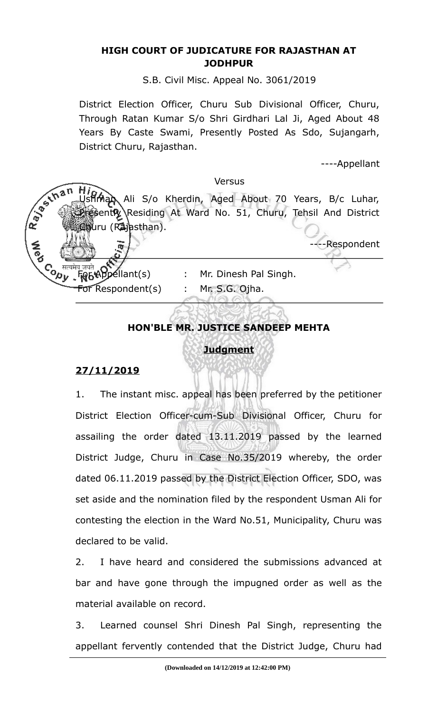#### **HIGH COURT OF JUDICATURE FOR RAJASTHAN AT JODHPUR**

S.B. Civil Misc. Appeal No. 3061/2019

District Election Officer, Churu Sub Divisional Officer, Churu, Through Ratan Kumar S/o Shri Girdhari Lal Ji, Aged About 48 Years By Caste Swami, Presently Posted As Sdo, Sujangarh, District Churu, Rajasthan.

----Appellant

#### Versus

R. Bechan Ali S/o Kherdin, Aged About 70 Years, B/c Luhar, ontly Residing At Ward No. 51, Churu, Tehsil And District **Muru (Rajasthan).** 

-Respondent

For Respondent(s) : Mr. S.G. Ojha.

- Co सत्यमेव जयते **Opellant(s)** : Mr. Dinesh Pal Singh.<br>स्थान के स्वास्थ्य करने के स्थान कर स्थान के स्थान के स्थान के स्थान के स्थान के स्थान के स्थान के स्थान के स्
	-

# **HON'BLE MR. JUSTICE SANDEEP MEHTA**

## **Judgment**

## **27/11/2019**

1. The instant misc. appeal has been preferred by the petitioner District Election Officer-cum-Sub Divisional Officer, Churu for assailing the order dated 13.11.2019 passed by the learned District Judge, Churu in Case No.35/2019 whereby, the order dated 06.11.2019 passed by the District Election Officer, SDO, was set aside and the nomination filed by the respondent Usman Ali for contesting the election in the Ward No.51, Municipality, Churu was declared to be valid.

2. I have heard and considered the submissions advanced at bar and have gone through the impugned order as well as the material available on record.

3. Learned counsel Shri Dinesh Pal Singh, representing the appellant fervently contended that the District Judge, Churu had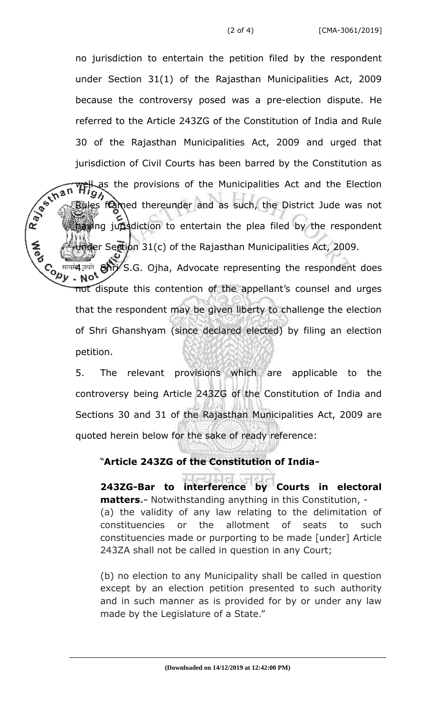no jurisdiction to entertain the petition filed by the respondent under Section 31(1) of the Rajasthan Municipalities Act, 2009 because the controversy posed was a pre-election dispute. He referred to the Article 243ZG of the Constitution of India and Rule 30 of the Rajasthan Municipalities Act, 2009 and urged that

jurisdiction of Civil Courts has been barred by the Constitution as<br>  $\sqrt{n}$   $\frac{m}{n}$   $\frac{m}{n}$  as the provisions of the Municipalities Act and the Election<br>  $\frac{m}{n}$  Bules framed thereunder and as such, the District  $\frac{L}{2}$  as the provisions of the Municipalities Act and the Election  $\frac{L}{2}$ Rules framed thereunder and as such, the District Jude was not having jurisdiction to entertain the plea filed by the respondent er Section 31(c) of the Rajasthan Municipalities Act, 2009.

**CONTROL** मत्यम्य जयते **Shri** S.G. Ojha, Advocate representing the respondent does<br>ע **No<sup>t</sup> ج**ر not dispute this contention of the appellant's counsel and urges that the respondent may be given liberty to challenge the election of Shri Ghanshyam (since declared elected) by filing an election petition.

5. The relevant provisions which are applicable to the controversy being Article 243ZG of the Constitution of India and Sections 30 and 31 of the Rajasthan Municipalities Act, 2009 are quoted herein below for the sake of ready reference:

### "**Article 243ZG of the Constitution of India***-*

**243ZG-Bar to interference by Courts in electoral matters.-** Notwithstanding anything in this Constitution, - (a) the validity of any law relating to the delimitation of constituencies or the allotment of seats to such constituencies made or purporting to be made [under] Article 243ZA shall not be called in question in any Court;

(b) no election to any Municipality shall be called in question except by an election petition presented to such authority and in such manner as is provided for by or under any law made by the Legislature of a State."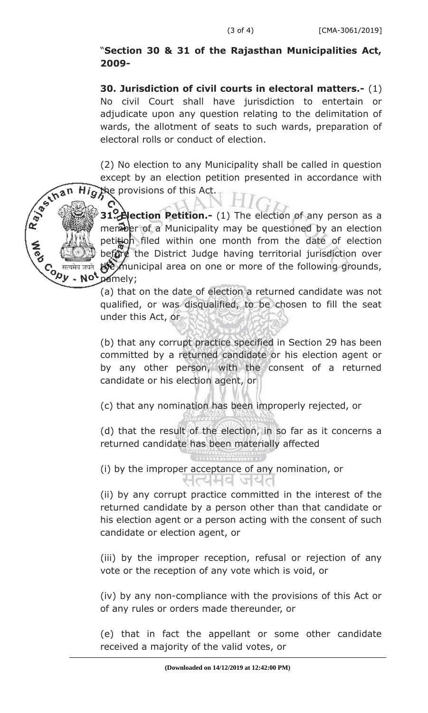## "**Section 30 & 31 of the Rajasthan Municipalities Act, 2009-**

**30. Jurisdiction of civil courts in electoral matters.-** (1) No civil Court shall have jurisdiction to entertain or adjudicate upon any question relating to the delimitation of wards, the allotment of seats to such wards, preparation of electoral rolls or conduct of election.

(2) No election to any Municipality shall be called in question except by an election petition presented in accordance with the provisions of this Act.  $Hig$ 



**31. Alection Petition.-** (1) The election of any person as a member of a Municipality may be questioned by an election petition filed within one month from the date of election before the District Judge having territorial jurisdiction over the municipal area on one or more of the following grounds, namely;

(a) that on the date of election a returned candidate was not qualified, or was disqualified, to be chosen to fill the seat under this Act, or

(b) that any corrupt practice specified in Section 29 has been committed by a returned candidate or his election agent or by any other person, with the consent of a returned candidate or his election agent, or

(c) that any nomination has been improperly rejected, or

(d) that the result of the election, in so far as it concerns a returned candidate has been materially affected

(i) by the improper acceptance of any nomination, or सत्यमव जयत

(ii) by any corrupt practice committed in the interest of the returned candidate by a person other than that candidate or his election agent or a person acting with the consent of such candidate or election agent, or

(iii) by the improper reception, refusal or rejection of any vote or the reception of any vote which is void, or

(iv) by any non-compliance with the provisions of this Act or of any rules or orders made thereunder, or

(e) that in fact the appellant or some other candidate received a majority of the valid votes, or